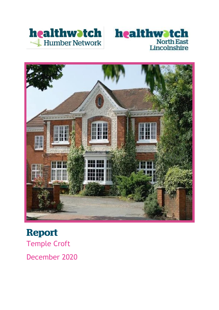





# **Report** Temple Croft December 2020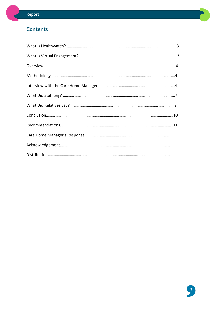### **Contents**

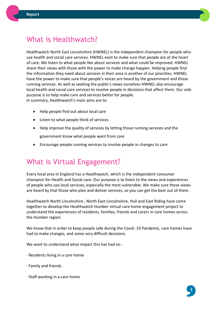

# What is Healthwatch?

Healthwatch North East Lincolnshire (HWNEL) is the independent champion for people who use health and social care services. HWNEL exist to make sure that people are at the heart of care. We listen to what people like about services and what could be improved. HWNEL share their views with those with the power to make change happen. Helping people find the information they need about services in their area is another of our priorities. HWNEL have the power to make sure that people's voices are heard by the government and those running services. As well as seeking the public's views ourselves HWNEL also encourage local health and social care services to involve people in decisions that affect them. Our sole purpose is to help make care and services better for people. In summary, Healthwatch's main aims are to:

- Help people find out about local care
- Listen to what people think of services
- Help improve the quality of services by letting those running services and the government know what people want from care
- Encourage people running services to involve people in changes to care

# What is Virtual Engagement?

Every local area in England has a Healthwatch, which is the independent consumer champion for Health and Social care. Our purpose is to listen to the views and experiences of people who use local services, especially the most vulnerable. We make sure these views are heard by that those who plan and deliver services, so you can get the best out of them.

Healthwatch North Lincolnshire , North East Lincolnshire, Hull and East Riding have come together to develop the Healthwatch Humber virtual care home engagement project to understand the experiences of residents, families, friends and carers in care homes across the Humber region.

We know that in order to keep people safe during the Covid -19 Pandemic, care homes have had to make changes, and some very difficult decisions.

We want to understand what impact this has had on -

- · Residents living in a care home
- · Family and friends
- · Staff working in a care home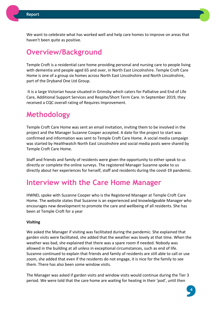

We want to celebrate what has worked well and help care homes to improve on areas that haven't been quite as positive.

# **Overview/Background**

Temple Croft is a residential care home providing personal and nursing care to people living with dementia and people aged 65 and over, in North East Lincolnshire. Temple Croft Care Home is one of a group six homes across North East Lincolnshire and North Lincolnshire, part of the Dryband One Ltd Group.

It is a large Victorian house situated in Grimsby which caters for Palliative and End of Life Care, Additional Support Services and Respite/Short Term Care. In September 2019, they received a CQC overall rating of Requires Improvement.

# **Methodology**

Temple Croft Care Home was sent an email invitation, inviting them to be involved in the project and the Manager Suzanne Cooper accepted. A date for the project to start was confirmed and information was sent to Temple Croft Care Home. A social media campaign was started by Healthwatch North East Lincolnshire and social media posts were shared by Temple Croft Care Home.

Staff and friends and family of residents were given the opportunity to either speak to us directly or complete the online surveys. The registered Manager Suzanne spoke to us directly about her experiences for herself, staff and residents during the covid-19 pandemic.

# **Interview with the Care Home Manager**

HWNEL spoke with Suzanne Cooper who is the Registered Manager at Temple Croft Care Home. The website states that Suzanne is an experienced and knowledgeable Manager who encourages new development to promote the care and wellbeing of all residents. She has been at Temple Croft for a year

#### **Visiting**

We asked the Manager if visiting was facilitated during the pandemic. She explained that garden visits were facilitated, she added that the weather was lovely at that time. When the weather was bad, she explained that there was a spare room if needed. Nobody was allowed in the building at all unless in exceptional circumstances, such as end of life. Suzanne continued to explain that friends and family of residents are still able to call or use zoom, she added that even if the residents do not engage, it is nice for the family to see them. There has also been some window visits.

The Manager was asked if garden visits and window visits would continue during the Tier 3 period. We were told that the care home are waiting for heating in their 'pod', until then

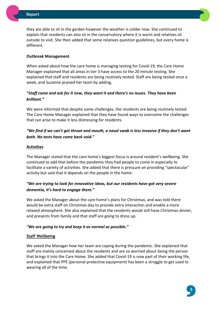they are able to sit in the garden however the weather is colder now. She continued to explain that residents can also sit in the conservatory where it is warm and relatives sit outside to visit. She then added that some relatives question guidelines, but every home is different.

#### **Outbreak Management**

When asked about how the care home is managing testing for Covid-19, the Care Home Manager explained that all areas in tier 3 have access to the 20 minute testing. She explained that staff and residents are being routinely tested. Staff are being tested once a week, and Suzanne praised her team by adding,

#### **"***Staff come and ask for it now, they want it and there's no issues. They have been brilliant."*

We were informed that despite some challenges, the residents are being routinely tested. The Care Home Manager explained that they have found ways to overcome the challenges that can arise to make it less distressing for residents.

#### *"We find if we can't get throat and mouth, a nasal swab is less invasive if they don't want both. No tests have come back void."*

#### **Activities**

The Manager stated that the care home's biggest focus is around resident's wellbeing. She continued to add that before the pandemic they had people to come in especially to facilitate a variety of activities. She added that there is pressure on providing "spectacular" activity but said that it depends on the people in the home.

#### *"We are trying to look for innovative ideas, but our residents have got very severe dementia, it's hard to engage them."*

We asked the Manager about the care home's plans for Christmas, and was told there would be extra staff on Christmas day to provide extra interaction and enable a more relaxed atmosphere. She also explained that the residents would still have Christmas dinner, and presents from family and that staff are going to dress up.

#### *"We are going to try and keep it as normal as possible."*

#### **Staff Wellbeing**

We asked the Manager how her team are coping during the pandemic. She explained that staff are mainly concerned about the residents and are so worried about being the person that brings it into the Care Home. She added that Covid-19 is now part of their working life, and explained that PPE (personal protective equipment) has been a struggle to get used to wearing all of the time.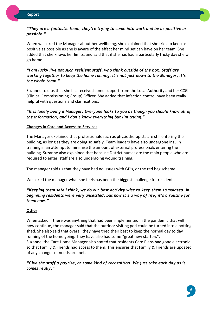#### *"They are a fantastic team, they're trying to come into work and be as positive as possible."*

When we asked the Manager about her wellbeing, she explained that she tries to keep as positive as possible as she is aware of the effect her mind set can have on her team. She added that she knows her limits, and said that if she has had a particularly tricky day she will go home.

#### *"I am lucky I've got such resilient staff, who think outside of the box. Staff are working together to keep the home running. It's not just down to the Manager, it's the whole team."*

Suzanne told us that she has received some support from the Local Authority and her CCG (Clinical Commissioning Group) Officer. She added that infection control have been really helpful with questions and clarifications.

*"It is lonely being a Manager. Everyone looks to you as though you should know all of the information, and I don't know everything but I'm trying."*

#### **Changes in Care and Access to Services**

The Manager explained that professionals such as physiotherapists are still entering the building, as long as they are doing so safely. Team leaders have also undergone insulin training in an attempt to minimise the amount of external professionals entering the building. Suzanne also explained that because District nurses are the main people who are required to enter, staff are also undergoing wound training.

The manager told us that they have had no issues with GP's, or the red bag scheme.

We asked the manager what she feels has been the biggest challenge for residents.

#### *"Keeping them safe I think, we do our best activity wise to keep them stimulated. In beginning residents were very unsettled, but now it's a way of life, it's a routine for them now."*

#### **Other**

When asked if there was anything that had been implemented in the pandemic that will now continue, the manager said that the outdoor visiting pod could be turned into a potting shed. She also said that overall they have tried their best to keep the normal day to day running of the home going. They have also had some "great new starters". Suzanne, the Care Home Manager also stated that residents Care Plans had gone electronic so that Family & Friends had access to them. This ensures that Family & Friends are updated of any changes of needs are met.

*"Give the staff a payrise, or some kind of recognition. We just take each day as it comes really."*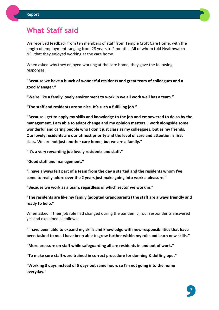

### **What Staff said**

We received feedback from ten members of staff from Temple Croft Care Home, with the length of employment ranging from 28 years to 2 months. All of whom told Healthwatch NEL that they enjoyed working at the care home.

When asked why they enjoyed working at the care home, they gave the following responses:

**"Because we have a bunch of wonderful residents and great team of colleagues and a good Manager."**

**"We're like a family lovely environment to work in we all work well has a team."**

**"The staff and residents are so nice. It's such a fulfilling job."**

**"Because I get to apply my skills and knowledge to the job and empowered to do so by the management. I am able to adapt change and my opinion matters. I work alongside some wonderful and caring people who I don't just class as my colleagues, but as my friends. Our lovely residents are our utmost priority and the level of care and attention is first class. We are not just another care home, but we are a family."**

**"It's a very rewarding job lovely residents and staff."**

**"Good staff and management."**

**"I have always felt part of a team from the day a started and the residents whom I've come to really adore over the 2 years just make going into work a pleasure."**

**"Because we work as a team, regardless of which sector we work in."**

**"The residents are like my family (adopted Grandparents) the staff are always friendly and ready to help."**

When asked if their job role had changed during the pandemic, four respondents answered yes and explained as follows:

**"I have been able to expand my skills and knowledge with new responsibilities that have been tasked to me. I have been able to grow further within my role and learn new skills."**

**"More pressure on staff while safeguarding all are residents in and out of work."**

**"To make sure staff were trained in correct procedure for donning & doffing ppe."**

**"Working 3 days instead of 5 days but same hours so I'm not going into the home everyday."**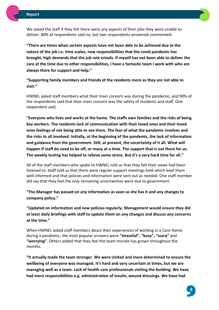

We asked the staff if they felt there were any aspects of their jobs they were unable to deliver. 80% of respondents said no, but two respondents answered commented:

**"There are times when certain aspects have not been able to be achieved due to the nature of the job i.e. time scales, new responsibilities that the covid pandemic has brought, high demands that the job role entails. If myself has not been able to deliver the care at the time due to other responsibilities, I have a fantastic team I work with who are always there for support and help."**

**"Supporting family members and friends of the residents more as they are not able to visit."**

HWNEL asked staff members what their main concern was during the pandemic, and 90% of the respondents said that their main concern was the safety of residents and staff. One respondent said,

**"Everyone who lives and works at the home. The staffs own families and the risks of being key workers. The residents lack of communication with their loved ones and their loved ones feelings of not being able to see them. The fear of what the pandemic involves and the risks to all involved. Initially, at the beginning of the pandemic, the lack of information and guidance from the government. Still, at present, the uncertainty of it all. What will happen if staff do need to be off, or many at a time. The support that is out there for us. The weekly testing has helped to relieve some stress. But it's a very hard time for all."**

All of the staff members who spoke to HWNEL told us that they felt their views had been listened to. Staff told us that there were regular support meetings held which kept them well informed and that policies and information were sent out as needed. One staff member did say that they feel the only remaining uncertainties were due to government.

**"The Manager has passed on any information as soon as she has it and any changes to company policy."**

**"Updated on information and new policies regularly. Management would ensure they did at least daily briefings with staff to update them on any changes and discuss any concerns at the time."**

When HWNEL asked staff members about their experiences of working in a Care Home during a pandemic, the most popular answers were **"stressful", "busy", "scary"** and **"worrying"**. Others added that they feel the team morale has grown throughout the months.

**"It actually made the team stronger. We were United and more determined to ensure the wellbeing of everyone was managed. It's hard and very uncertain at times, but we are managing well as a team. Lack of health care professionals visiting the building. We have had more responsibilities e.g. administration of insulin, wound dressings. We have had** 

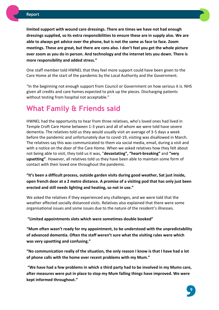**limited support with wound care dressings. There are times we have not had enough dressings supplied, so its extra responsibilities to ensure these are in supply also. We are able to always get advice over the phone, but is not the same as face to face. Zoom meetings. These are great, but there are cons also. I don't feel you get the whole picture over zoom as you do in person. And technology and the internet lets you down. There is more responsibility and added stress."**

One staff member told HWNEL that they feel more support could have been given to the Care Home at the start of the pandemic by the Local Authority and the Government.

"In the beginning not enough support from Council or Government on how serious it is. NHS given all credits and care homes expected to pick up the pieces. Discharging patients without testing from hospital not acceptable."

### **What Family & Friends said**

HWNEL had the opportunity to hear from three relatives, who's loved ones had lived in Temple Croft Care Home between 1-3 years and all of whom we were told have severe dementia. The relatives told us they would usually visit an average of 3-5 days a week before the pandemic and unfortunately due to covid-19, visiting was disallowed in March. The relatives say this was communicated to them via social media, email, during a visit and with a notice on the door of the Care Home. When we asked relatives how they felt about not being able to visit, they told us it was, "**devastating", "heart-breaking"** and **"very upsetting"**. However, all relatives told us they have been able to maintain some form of contact with their loved one throughout the pandemic.

**"It's been a difficult process, outside garden visits during good weather, Sat just inside, open french door at a 2 metre distance. A promise of a visiting pod that has only just been erected and still needs lighting and heating, so not in use."**

We asked the relatives if they experienced any challenges, and we were told that the weather affected socially distanced visits. Relatives also explained that there were some organisational issues and some issues due to the nature of the resident's illnesses.

**"Limited appointments slots which were sometimes double booked"** 

**"Mum often wasn't ready for my appointment, to be understood with the unpredictability of advanced dementia. Often the staff weren't sure what the visiting rules were which was very upsetting and confusing."**

**"No communication really of the situation, the only reason I know is that I have had a lot of phone calls with the home over recent problems with my Mum."**

**"We have had a few problems in which a third party had to be involved in my Mums care, after measures were put in place to stop my Mum falling things have improved. We were kept informed throughout."**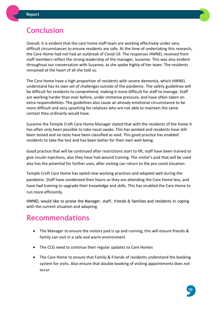# **Conclusion**

Overall, it is evident that the care home staff team are working effectively under very difficult circumstances to ensure residents are safe. At the time of undertaking this research, the Care Home had not had an outbreak of Covid-19. The responses HWNEL received from staff members reflect the strong leadership of the manager, Suzanne. This was also evident throughout our conversation with Suzanne, as she spoke highly of her team. The residents remained at the heart of all she told us.

The Care Home have a high proportion of residents with severe dementia, which HWNEL understand has its own set of challenges outside of the pandemic. The safety guidelines will be difficult for residents to comprehend, making it more difficult for staff to manage. Staff are working harder than ever before, under immense pressure, and have often taken on extra responsibilities. The guidelines also cause an already emotional circumstance to be more difficult and very upsetting for relatives who are not able to maintain the same contact they ordinarily would have.

Suzanne the Temple Croft Care Home Manager stated that with the residents of the home it has often only been possible to take nasal swabs. This has worked and residents have still been tested and no tests have been classified as void. This good practice has enabled residents to take the test and has been better for their own well-being.

Good practice that will be continued after restrictions start to lift, staff have been trained to give insulin injections, also they have had wound training. The visitor's pod that will be used also has the potential for further uses, after visiting can return to the pre-covid situation.

Temple Croft Care Home has opted new working practices and adapted well during the pandemic. Staff have condensed their hours so they are attending the Care Home less, and have had training to upgrade their knowledge and skills. This has enabled the Care Home to run more efficiently.

HWNEL would like to praise the Manager, staff, friends & families and residents in coping with the current situation and adapting.

# **Recommendations**

- The Manager to ensure the visitors pod is up and running, this will ensure friends & family can visit in a safe and warm environment
- The CCG need to continue their regular updates to Care Homes
- The Care Home to ensure that Family & Friends of residents understand the booking system for visits. Also ensure that double booking of visiting appointments does not occur